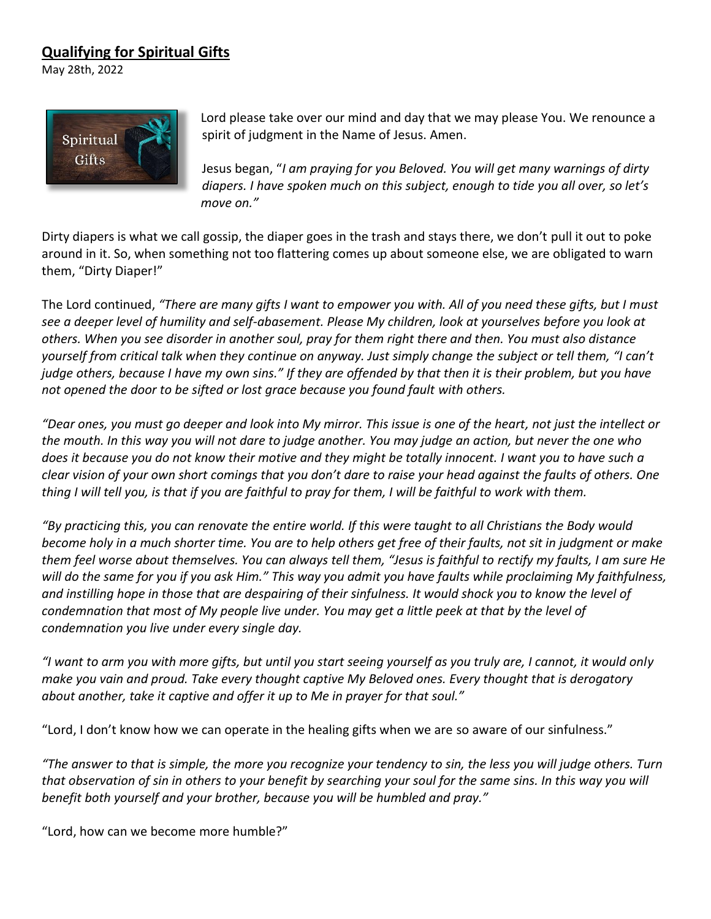## **Qualifying for Spiritual Gifts**

May 28th, 2022



Lord please take over our mind and day that we may please You. We renounce a spirit of judgment in the Name of Jesus. Amen.

Jesus began, "*I am praying for you Beloved. You will get many warnings of dirty diapers. I have spoken much on this subject, enough to tide you all over, so let's*  move on."

Dirty diapers is what we call gossip, the diaper goes in the trash and stays there, we don't pull it out to poke around in it. So, when something not too flattering comes up about someone else, we are obligated to warn them, "Dirty Diaper!"

The Lord continued, *"There are many gifts I want to empower you with. All of you need these gifts, but I must see a deeper level of humility and self-abasement. Please My children, look at yourselves before you look at others. When you see disorder in another soul, pray for them right there and then. You must also distance yourself from critical talk when they continue on anyway. Just simply change the subject or tell them, "I can't judge others, because I have my own sins." If they are offended by that then it is their problem, but you have not opened the door to be sifted or lost grace because you found fault with others.*

*"Dear ones, you must go deeper and look into My mirror. This issue is one of the heart, not just the intellect or the mouth. In this way you will not dare to judge another. You may judge an action, but never the one who does it because you do not know their motive and they might be totally innocent. I want you to have such a clear vision of your own short comings that you don't dare to raise your head against the faults of others. One thing I will tell you, is that if you are faithful to pray for them, I will be faithful to work with them.* 

*"By practicing this, you can renovate the entire world. If this were taught to all Christians the Body would become holy in a much shorter time. You are to help others get free of their faults, not sit in judgment or make them feel worse about themselves. You can always tell them, "Jesus is faithful to rectify my faults, I am sure He will do the same for you if you ask Him." This way you admit you have faults while proclaiming My faithfulness, and instilling hope in those that are despairing of their sinfulness. It would shock you to know the level of condemnation that most of My people live under. You may get a little peek at that by the level of condemnation you live under every single day.*

*"I want to arm you with more gifts, but until you start seeing yourself as you truly are, I cannot, it would only make you vain and proud. Take every thought captive My Beloved ones. Every thought that is derogatory about another, take it captive and offer it up to Me in prayer for that soul."*

"Lord, I don't know how we can operate in the healing gifts when we are so aware of our sinfulness."

*"The answer to that is simple, the more you recognize your tendency to sin, the less you will judge others. Turn*  that observation of sin in others to your benefit by searching your soul for the same sins. In this way you will benefit both yourself and your brother, because you will be humbled and pray."

"Lord, how can we become more humble?"